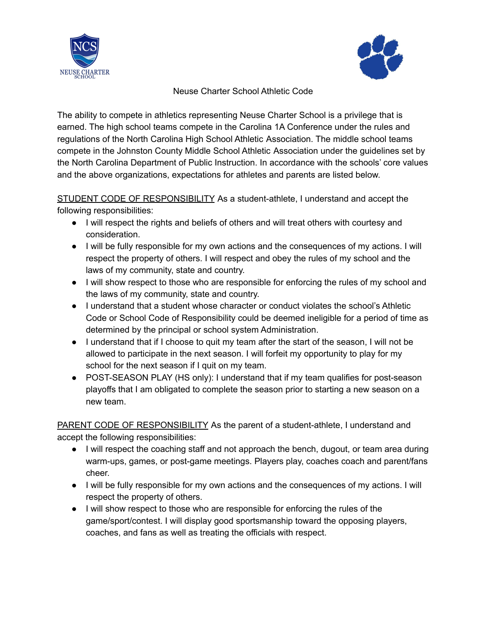



## Neuse Charter School Athletic Code

The ability to compete in athletics representing Neuse Charter School is a privilege that is earned. The high school teams compete in the Carolina 1A Conference under the rules and regulations of the North Carolina High School Athletic Association. The middle school teams compete in the Johnston County Middle School Athletic Association under the guidelines set by the North Carolina Department of Public Instruction. In accordance with the schools' core values and the above organizations, expectations for athletes and parents are listed below.

STUDENT CODE OF RESPONSIBILITY As a student-athlete, I understand and accept the following responsibilities:

- I will respect the rights and beliefs of others and will treat others with courtesy and consideration.
- I will be fully responsible for my own actions and the consequences of my actions. I will respect the property of others. I will respect and obey the rules of my school and the laws of my community, state and country.
- I will show respect to those who are responsible for enforcing the rules of my school and the laws of my community, state and country.
- I understand that a student whose character or conduct violates the school's Athletic Code or School Code of Responsibility could be deemed ineligible for a period of time as determined by the principal or school system Administration.
- I understand that if I choose to quit my team after the start of the season, I will not be allowed to participate in the next season. I will forfeit my opportunity to play for my school for the next season if I quit on my team.
- POST-SEASON PLAY (HS only): I understand that if my team qualifies for post-season playoffs that I am obligated to complete the season prior to starting a new season on a new team.

PARENT CODE OF RESPONSIBILITY As the parent of a student-athlete, I understand and accept the following responsibilities:

- I will respect the coaching staff and not approach the bench, dugout, or team area during warm-ups, games, or post-game meetings. Players play, coaches coach and parent/fans cheer.
- I will be fully responsible for my own actions and the consequences of my actions. I will respect the property of others.
- I will show respect to those who are responsible for enforcing the rules of the game/sport/contest. I will display good sportsmanship toward the opposing players, coaches, and fans as well as treating the officials with respect.